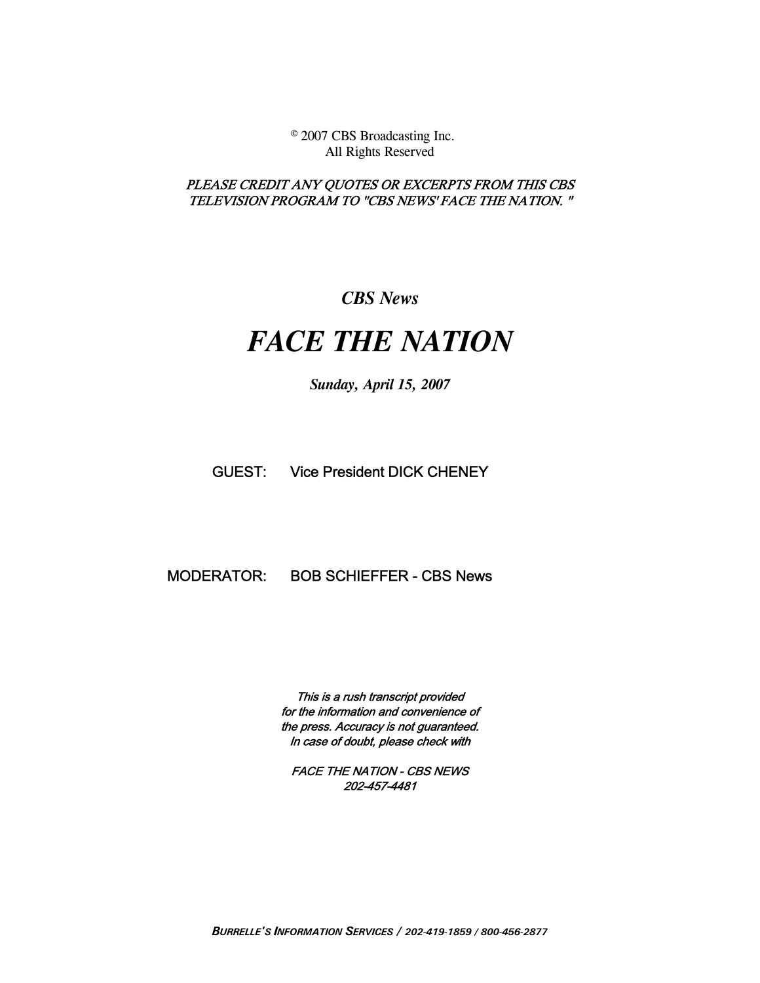© 2007 CBS Broadcasting Inc. All Rights Reserved

 PLEASE CREDIT ANY QUOTES OR EXCERPTS FROM THIS CBS TELEVISION PROGRAM TO "CBS NEWS' FACE THE NATION. "

 *CBS News* 

# *FACE THE NATION*

 *Sunday, April 15, 2007* 

# GUEST: Vice President DICK CHENEY

# MODERATOR: BOB SCHIEFFER - CBS News

 This is a rush transcript provided for the information and convenience of the press. Accuracy is not guaranteed. In case of doubt, please check with

 FACE THE NATION - CBS NEWS 202-457-4481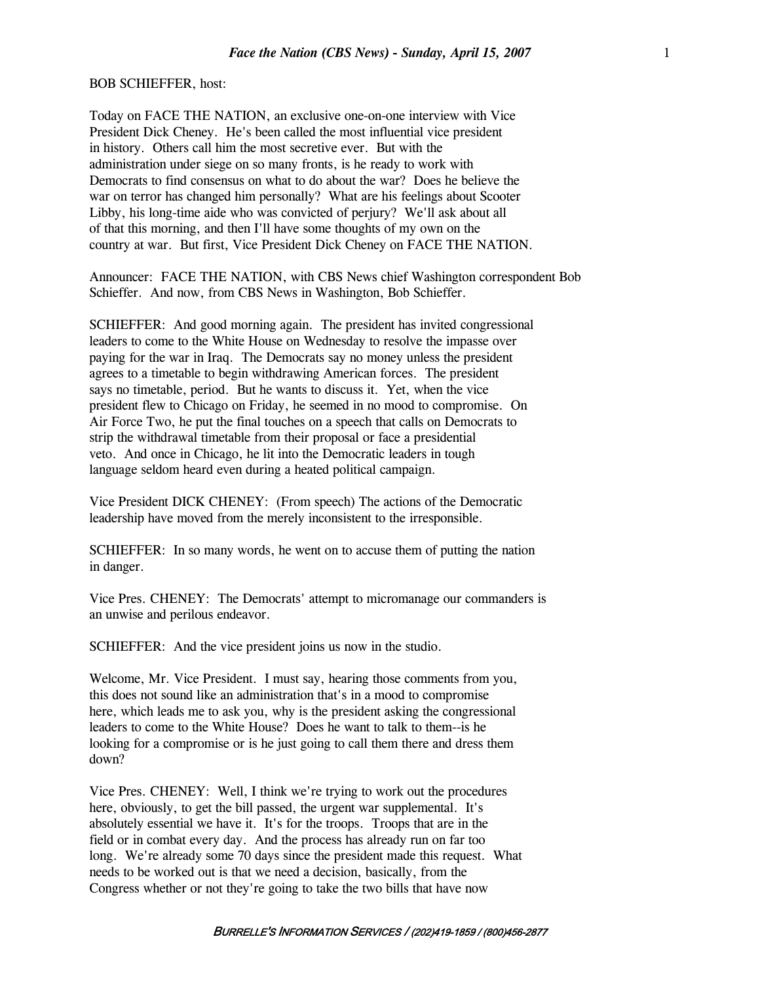### BOB SCHIEFFER, host:

Today on FACE THE NATION, an exclusive one-on-one interview with Vice President Dick Cheney. He's been called the most influential vice president in history. Others call him the most secretive ever. But with the administration under siege on so many fronts, is he ready to work with Democrats to find consensus on what to do about the war? Does he believe the war on terror has changed him personally? What are his feelings about Scooter Libby, his long-time aide who was convicted of perjury? We'll ask about all of that this morning, and then I'll have some thoughts of my own on the country at war. But first, Vice President Dick Cheney on FACE THE NATION.

Announcer: FACE THE NATION, with CBS News chief Washington correspondent Bob Schieffer. And now, from CBS News in Washington, Bob Schieffer.

SCHIEFFER: And good morning again. The president has invited congressional leaders to come to the White House on Wednesday to resolve the impasse over paying for the war in Iraq. The Democrats say no money unless the president agrees to a timetable to begin withdrawing American forces. The president says no timetable, period. But he wants to discuss it. Yet, when the vice president flew to Chicago on Friday, he seemed in no mood to compromise. On Air Force Two, he put the final touches on a speech that calls on Democrats to strip the withdrawal timetable from their proposal or face a presidential veto. And once in Chicago, he lit into the Democratic leaders in tough language seldom heard even during a heated political campaign.

Vice President DICK CHENEY: (From speech) The actions of the Democratic leadership have moved from the merely inconsistent to the irresponsible.

SCHIEFFER: In so many words, he went on to accuse them of putting the nation in danger.

Vice Pres. CHENEY: The Democrats' attempt to micromanage our commanders is an unwise and perilous endeavor.

SCHIEFFER: And the vice president joins us now in the studio.

Welcome, Mr. Vice President. I must say, hearing those comments from you, this does not sound like an administration that's in a mood to compromise here, which leads me to ask you, why is the president asking the congressional leaders to come to the White House? Does he want to talk to them--is he looking for a compromise or is he just going to call them there and dress them down?

Vice Pres. CHENEY: Well, I think we're trying to work out the procedures here, obviously, to get the bill passed, the urgent war supplemental. It's absolutely essential we have it. It's for the troops. Troops that are in the field or in combat every day. And the process has already run on far too long. We're already some 70 days since the president made this request. What needs to be worked out is that we need a decision, basically, from the Congress whether or not they're going to take the two bills that have now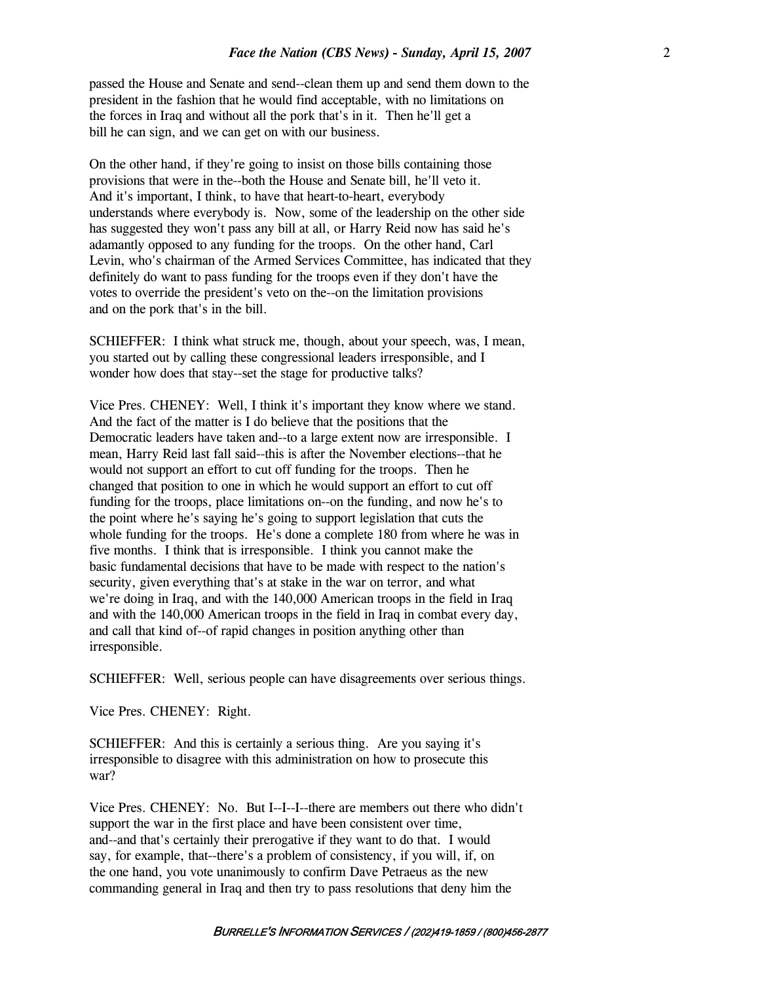passed the House and Senate and send--clean them up and send them down to the president in the fashion that he would find acceptable, with no limitations on the forces in Iraq and without all the pork that's in it. Then he'll get a bill he can sign, and we can get on with our business.

On the other hand, if they're going to insist on those bills containing those provisions that were in the--both the House and Senate bill, he'll veto it. And it's important, I think, to have that heart-to-heart, everybody understands where everybody is. Now, some of the leadership on the other side has suggested they won't pass any bill at all, or Harry Reid now has said he's adamantly opposed to any funding for the troops. On the other hand, Carl Levin, who's chairman of the Armed Services Committee, has indicated that they definitely do want to pass funding for the troops even if they don't have the votes to override the president's veto on the--on the limitation provisions and on the pork that's in the bill.

SCHIEFFER: I think what struck me, though, about your speech, was, I mean, you started out by calling these congressional leaders irresponsible, and I wonder how does that stay--set the stage for productive talks?

Vice Pres. CHENEY: Well, I think it's important they know where we stand. And the fact of the matter is I do believe that the positions that the Democratic leaders have taken and--to a large extent now are irresponsible. I mean, Harry Reid last fall said--this is after the November elections--that he would not support an effort to cut off funding for the troops. Then he changed that position to one in which he would support an effort to cut off funding for the troops, place limitations on--on the funding, and now he's to the point where he's saying he's going to support legislation that cuts the whole funding for the troops. He's done a complete 180 from where he was in five months. I think that is irresponsible. I think you cannot make the basic fundamental decisions that have to be made with respect to the nation's security, given everything that's at stake in the war on terror, and what we're doing in Iraq, and with the 140,000 American troops in the field in Iraq and with the 140,000 American troops in the field in Iraq in combat every day, and call that kind of--of rapid changes in position anything other than irresponsible.

SCHIEFFER: Well, serious people can have disagreements over serious things.

Vice Pres. CHENEY: Right.

SCHIEFFER: And this is certainly a serious thing. Are you saying it's irresponsible to disagree with this administration on how to prosecute this war?

Vice Pres. CHENEY: No. But I--I--I--there are members out there who didn't support the war in the first place and have been consistent over time, and--and that's certainly their prerogative if they want to do that. I would say, for example, that--there's a problem of consistency, if you will, if, on the one hand, you vote unanimously to confirm Dave Petraeus as the new commanding general in Iraq and then try to pass resolutions that deny him the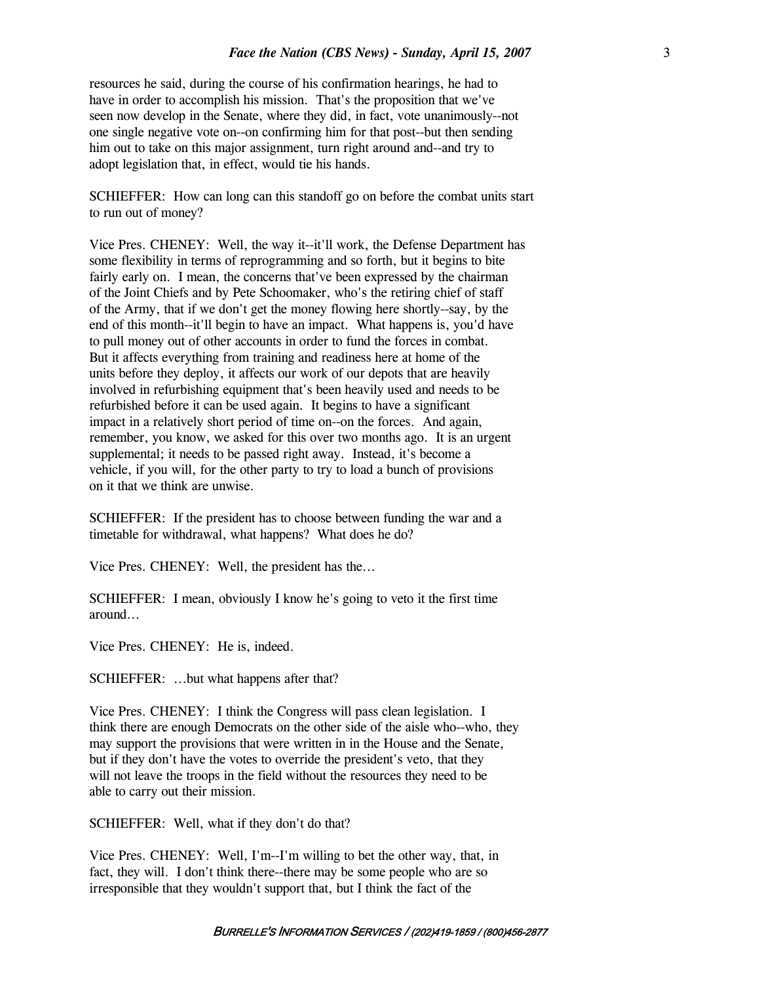resources he said, during the course of his confirmation hearings, he had to have in order to accomplish his mission. That's the proposition that we've seen now develop in the Senate, where they did, in fact, vote unanimously--not one single negative vote on--on confirming him for that post--but then sending him out to take on this major assignment, turn right around and--and try to adopt legislation that, in effect, would tie his hands.

SCHIEFFER: How can long can this standoff go on before the combat units start to run out of money?

Vice Pres. CHENEY: Well, the way it--it'll work, the Defense Department has some flexibility in terms of reprogramming and so forth, but it begins to bite fairly early on. I mean, the concerns that've been expressed by the chairman of the Joint Chiefs and by Pete Schoomaker, who's the retiring chief of staff of the Army, that if we don't get the money flowing here shortly--say, by the end of this month--it'll begin to have an impact. What happens is, you'd have to pull money out of other accounts in order to fund the forces in combat. But it affects everything from training and readiness here at home of the units before they deploy, it affects our work of our depots that are heavily involved in refurbishing equipment that's been heavily used and needs to be refurbished before it can be used again. It begins to have a significant impact in a relatively short period of time on--on the forces. And again, remember, you know, we asked for this over two months ago. It is an urgent supplemental; it needs to be passed right away. Instead, it's become a vehicle, if you will, for the other party to try to load a bunch of provisions on it that we think are unwise.

SCHIEFFER: If the president has to choose between funding the war and a timetable for withdrawal, what happens? What does he do?

Vice Pres. CHENEY: Well, the president has the...

SCHIEFFER: I mean, obviously I know he's going to veto it the first time around...

Vice Pres. CHENEY: He is, indeed.

SCHIEFFER: ...but what happens after that?

Vice Pres. CHENEY: I think the Congress will pass clean legislation. I think there are enough Democrats on the other side of the aisle who--who, they may support the provisions that were written in in the House and the Senate, but if they don't have the votes to override the president's veto, that they will not leave the troops in the field without the resources they need to be able to carry out their mission.

SCHIEFFER: Well, what if they don't do that?

Vice Pres. CHENEY: Well, I'm--I'm willing to bet the other way, that, in fact, they will. I don't think there--there may be some people who are so irresponsible that they wouldn't support that, but I think the fact of the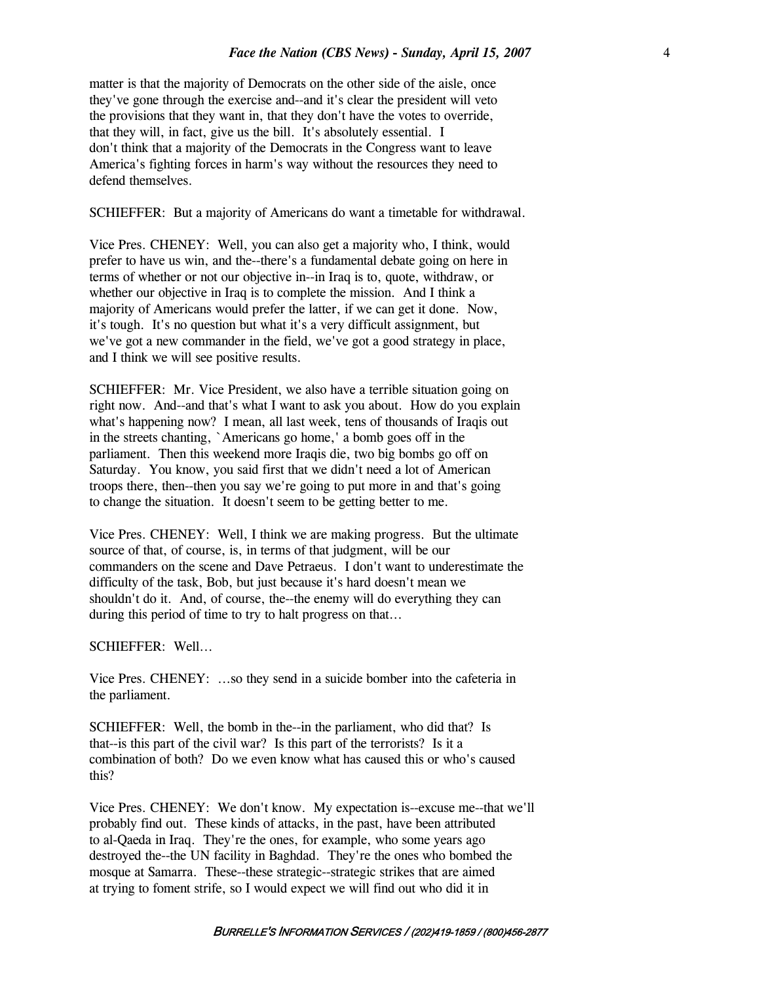matter is that the majority of Democrats on the other side of the aisle, once they've gone through the exercise and--and it's clear the president will veto the provisions that they want in, that they don't have the votes to override, that they will, in fact, give us the bill. It's absolutely essential. I don't think that a majority of the Democrats in the Congress want to leave America's fighting forces in harm's way without the resources they need to defend themselves.

SCHIEFFER: But a majority of Americans do want a timetable for withdrawal.

Vice Pres. CHENEY: Well, you can also get a majority who, I think, would prefer to have us win, and the--there's a fundamental debate going on here in terms of whether or not our objective in--in Iraq is to, quote, withdraw, or whether our objective in Iraq is to complete the mission. And I think a majority of Americans would prefer the latter, if we can get it done. Now, it's tough. It's no question but what it's a very difficult assignment, but we've got a new commander in the field, we've got a good strategy in place, and I think we will see positive results.

SCHIEFFER: Mr. Vice President, we also have a terrible situation going on right now. And--and that's what I want to ask you about. How do you explain what's happening now? I mean, all last week, tens of thousands of Iraqis out in the streets chanting, `Americans go home,' a bomb goes off in the parliament. Then this weekend more Iraqis die, two big bombs go off on Saturday. You know, you said first that we didn't need a lot of American troops there, then--then you say we're going to put more in and that's going to change the situation. It doesn't seem to be getting better to me.

Vice Pres. CHENEY: Well, I think we are making progress. But the ultimate source of that, of course, is, in terms of that judgment, will be our commanders on the scene and Dave Petraeus. I don't want to underestimate the difficulty of the task, Bob, but just because it's hard doesn't mean we shouldn't do it. And, of course, the--the enemy will do everything they can during this period of time to try to halt progress on that...

SCHIEFFER: Well...

Vice Pres. CHENEY: ...so they send in a suicide bomber into the cafeteria in the parliament.

SCHIEFFER: Well, the bomb in the--in the parliament, who did that? Is that--is this part of the civil war? Is this part of the terrorists? Is it a combination of both? Do we even know what has caused this or who's caused this?

Vice Pres. CHENEY: We don't know. My expectation is--excuse me--that we'll probably find out. These kinds of attacks, in the past, have been attributed to al-Qaeda in Iraq. They're the ones, for example, who some years ago destroyed the--the UN facility in Baghdad. They're the ones who bombed the mosque at Samarra. These--these strategic--strategic strikes that are aimed at trying to foment strife, so I would expect we will find out who did it in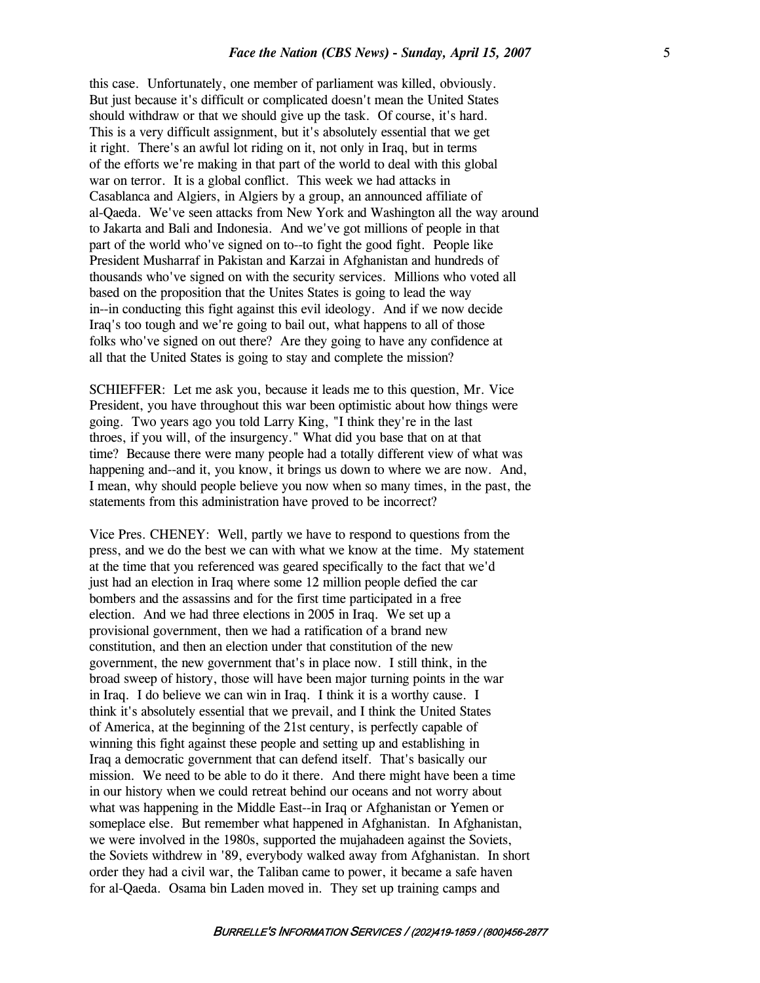this case. Unfortunately, one member of parliament was killed, obviously. But just because it's difficult or complicated doesn't mean the United States should withdraw or that we should give up the task. Of course, it's hard. This is a very difficult assignment, but it's absolutely essential that we get it right. There's an awful lot riding on it, not only in Iraq, but in terms of the efforts we're making in that part of the world to deal with this global war on terror. It is a global conflict. This week we had attacks in Casablanca and Algiers, in Algiers by a group, an announced affiliate of al-Qaeda. We've seen attacks from New York and Washington all the way around to Jakarta and Bali and Indonesia. And we've got millions of people in that part of the world who've signed on to--to fight the good fight. People like President Musharraf in Pakistan and Karzai in Afghanistan and hundreds of thousands who've signed on with the security services. Millions who voted all based on the proposition that the Unites States is going to lead the way in--in conducting this fight against this evil ideology. And if we now decide Iraq's too tough and we're going to bail out, what happens to all of those folks who've signed on out there? Are they going to have any confidence at all that the United States is going to stay and complete the mission?

SCHIEFFER: Let me ask you, because it leads me to this question, Mr. Vice President, you have throughout this war been optimistic about how things were going. Two years ago you told Larry King, "I think they're in the last throes, if you will, of the insurgency." What did you base that on at that time? Because there were many people had a totally different view of what was happening and--and it, you know, it brings us down to where we are now. And, I mean, why should people believe you now when so many times, in the past, the statements from this administration have proved to be incorrect?

Vice Pres. CHENEY: Well, partly we have to respond to questions from the press, and we do the best we can with what we know at the time. My statement at the time that you referenced was geared specifically to the fact that we'd just had an election in Iraq where some 12 million people defied the car bombers and the assassins and for the first time participated in a free election. And we had three elections in 2005 in Iraq. We set up a provisional government, then we had a ratification of a brand new constitution, and then an election under that constitution of the new government, the new government that's in place now. I still think, in the broad sweep of history, those will have been major turning points in the war in Iraq. I do believe we can win in Iraq. I think it is a worthy cause. I think it's absolutely essential that we prevail, and I think the United States of America, at the beginning of the 21st century, is perfectly capable of winning this fight against these people and setting up and establishing in Iraq a democratic government that can defend itself. That's basically our mission. We need to be able to do it there. And there might have been a time in our history when we could retreat behind our oceans and not worry about what was happening in the Middle East--in Iraq or Afghanistan or Yemen or someplace else. But remember what happened in Afghanistan. In Afghanistan, we were involved in the 1980s, supported the mujahadeen against the Soviets, the Soviets withdrew in '89, everybody walked away from Afghanistan. In short order they had a civil war, the Taliban came to power, it became a safe haven for al-Qaeda. Osama bin Laden moved in. They set up training camps and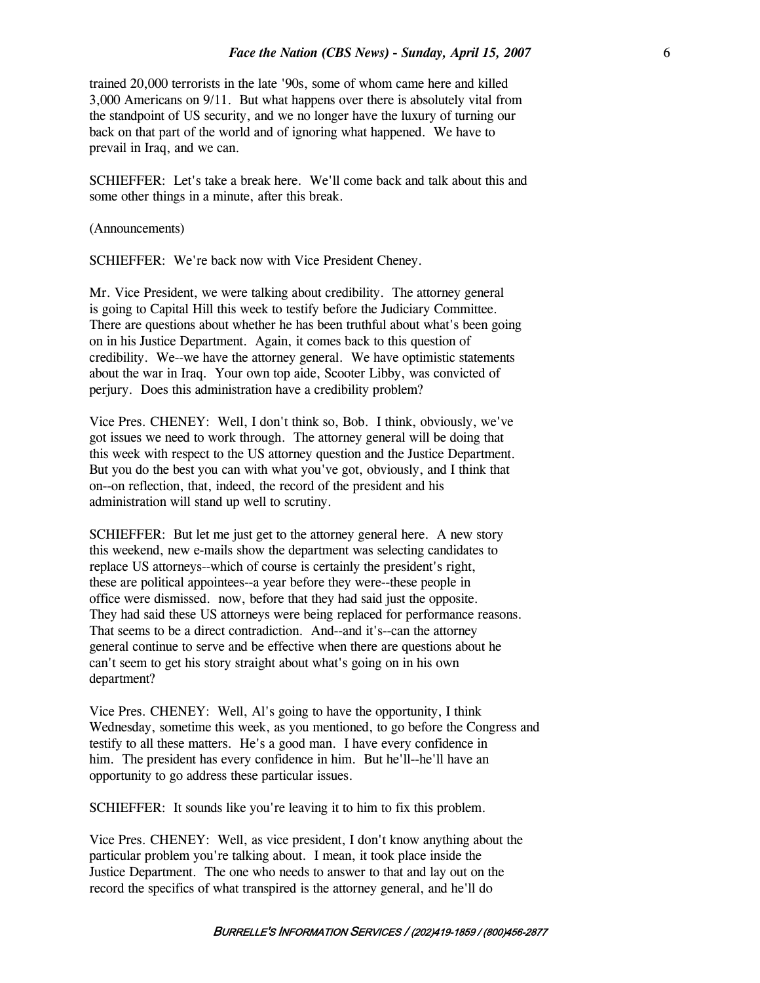trained 20,000 terrorists in the late '90s, some of whom came here and killed 3,000 Americans on 9/11. But what happens over there is absolutely vital from the standpoint of US security, and we no longer have the luxury of turning our back on that part of the world and of ignoring what happened. We have to prevail in Iraq, and we can.

SCHIEFFER: Let's take a break here. We'll come back and talk about this and some other things in a minute, after this break.

(Announcements)

SCHIEFFER: We're back now with Vice President Cheney.

Mr. Vice President, we were talking about credibility. The attorney general is going to Capital Hill this week to testify before the Judiciary Committee. There are questions about whether he has been truthful about what's been going on in his Justice Department. Again, it comes back to this question of credibility. We--we have the attorney general. We have optimistic statements about the war in Iraq. Your own top aide, Scooter Libby, was convicted of perjury. Does this administration have a credibility problem?

Vice Pres. CHENEY: Well, I don't think so, Bob. I think, obviously, we've got issues we need to work through. The attorney general will be doing that this week with respect to the US attorney question and the Justice Department. But you do the best you can with what you've got, obviously, and I think that on--on reflection, that, indeed, the record of the president and his administration will stand up well to scrutiny.

SCHIEFFER: But let me just get to the attorney general here. A new story this weekend, new e-mails show the department was selecting candidates to replace US attorneys--which of course is certainly the president's right, these are political appointees--a year before they were--these people in office were dismissed. now, before that they had said just the opposite. They had said these US attorneys were being replaced for performance reasons. That seems to be a direct contradiction. And--and it's--can the attorney general continue to serve and be effective when there are questions about he can't seem to get his story straight about what's going on in his own department?

Vice Pres. CHENEY: Well, Al's going to have the opportunity, I think Wednesday, sometime this week, as you mentioned, to go before the Congress and testify to all these matters. He's a good man. I have every confidence in him. The president has every confidence in him. But he'll--he'll have an opportunity to go address these particular issues.

SCHIEFFER: It sounds like you're leaving it to him to fix this problem.

Vice Pres. CHENEY: Well, as vice president, I don't know anything about the particular problem you're talking about. I mean, it took place inside the Justice Department. The one who needs to answer to that and lay out on the record the specifics of what transpired is the attorney general, and he'll do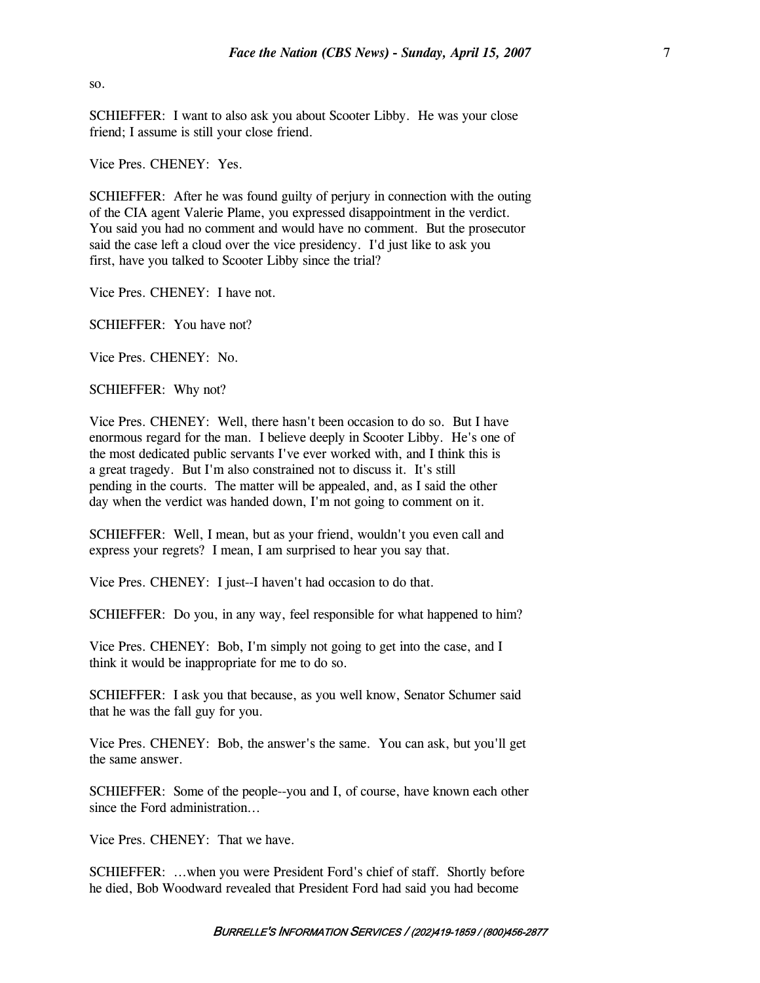so.

SCHIEFFER: I want to also ask you about Scooter Libby. He was your close friend; I assume is still your close friend.

Vice Pres. CHENEY: Yes.

SCHIEFFER: After he was found guilty of perjury in connection with the outing of the CIA agent Valerie Plame, you expressed disappointment in the verdict. You said you had no comment and would have no comment. But the prosecutor said the case left a cloud over the vice presidency. I'd just like to ask you first, have you talked to Scooter Libby since the trial?

Vice Pres. CHENEY: I have not.

SCHIEFFER: You have not?

Vice Pres. CHENEY: No.

SCHIEFFER: Why not?

Vice Pres. CHENEY: Well, there hasn't been occasion to do so. But I have enormous regard for the man. I believe deeply in Scooter Libby. He's one of the most dedicated public servants I've ever worked with, and I think this is a great tragedy. But I'm also constrained not to discuss it. It's still pending in the courts. The matter will be appealed, and, as I said the other day when the verdict was handed down, I'm not going to comment on it.

SCHIEFFER: Well, I mean, but as your friend, wouldn't you even call and express your regrets? I mean, I am surprised to hear you say that.

Vice Pres. CHENEY: I just--I haven't had occasion to do that.

SCHIEFFER: Do you, in any way, feel responsible for what happened to him?

Vice Pres. CHENEY: Bob, I'm simply not going to get into the case, and I think it would be inappropriate for me to do so.

SCHIEFFER: I ask you that because, as you well know, Senator Schumer said that he was the fall guy for you.

Vice Pres. CHENEY: Bob, the answer's the same. You can ask, but you'll get the same answer.

SCHIEFFER: Some of the people--you and I, of course, have known each other since the Ford administration...

Vice Pres. CHENEY: That we have.

SCHIEFFER: ...when you were President Ford's chief of staff. Shortly before he died, Bob Woodward revealed that President Ford had said you had become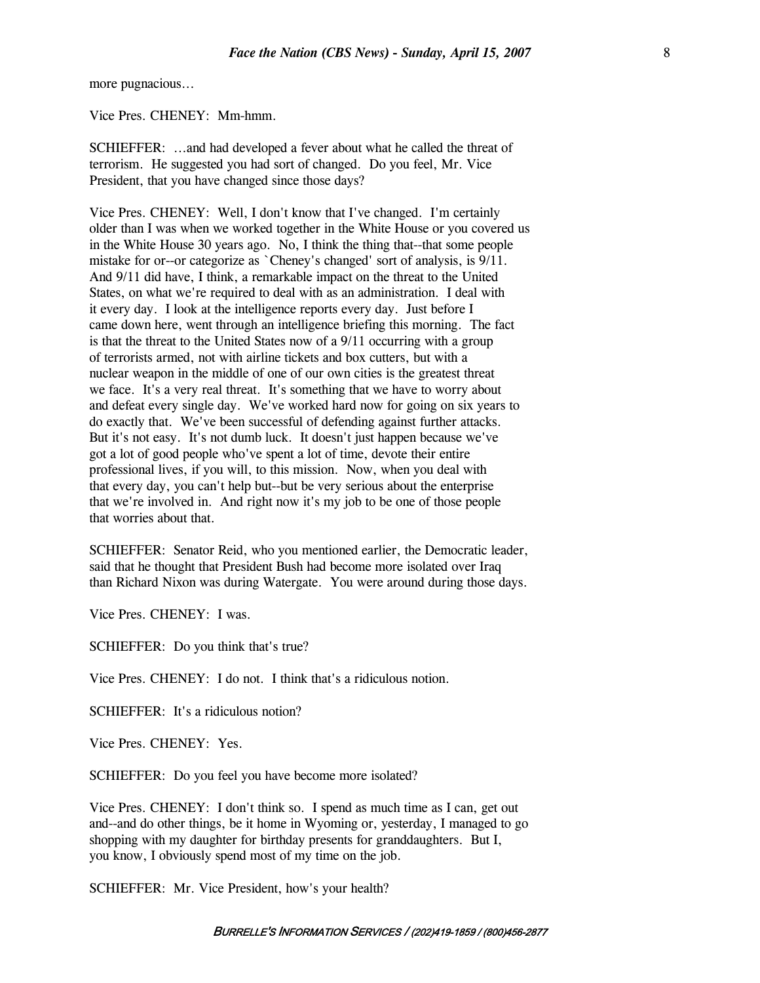more pugnacious...

Vice Pres. CHENEY: Mm-hmm.

SCHIEFFER: ...and had developed a fever about what he called the threat of terrorism. He suggested you had sort of changed. Do you feel, Mr. Vice President, that you have changed since those days?

Vice Pres. CHENEY: Well, I don't know that I've changed. I'm certainly older than I was when we worked together in the White House or you covered us in the White House 30 years ago. No, I think the thing that--that some people mistake for or--or categorize as `Cheney's changed' sort of analysis, is 9/11. And 9/11 did have, I think, a remarkable impact on the threat to the United States, on what we're required to deal with as an administration. I deal with it every day. I look at the intelligence reports every day. Just before I came down here, went through an intelligence briefing this morning. The fact is that the threat to the United States now of a 9/11 occurring with a group of terrorists armed, not with airline tickets and box cutters, but with a nuclear weapon in the middle of one of our own cities is the greatest threat we face. It's a very real threat. It's something that we have to worry about and defeat every single day. We've worked hard now for going on six years to do exactly that. We've been successful of defending against further attacks. But it's not easy. It's not dumb luck. It doesn't just happen because we've got a lot of good people who've spent a lot of time, devote their entire professional lives, if you will, to this mission. Now, when you deal with that every day, you can't help but--but be very serious about the enterprise that we're involved in. And right now it's my job to be one of those people that worries about that.

SCHIEFFER: Senator Reid, who you mentioned earlier, the Democratic leader, said that he thought that President Bush had become more isolated over Iraq than Richard Nixon was during Watergate. You were around during those days.

Vice Pres. CHENEY: I was.

SCHIEFFER: Do you think that's true?

Vice Pres. CHENEY: I do not. I think that's a ridiculous notion.

SCHIEFFER: It's a ridiculous notion?

Vice Pres. CHENEY: Yes.

SCHIEFFER: Do you feel you have become more isolated?

Vice Pres. CHENEY: I don't think so. I spend as much time as I can, get out and--and do other things, be it home in Wyoming or, yesterday, I managed to go shopping with my daughter for birthday presents for granddaughters. But I, you know, I obviously spend most of my time on the job.

SCHIEFFER: Mr. Vice President, how's your health?